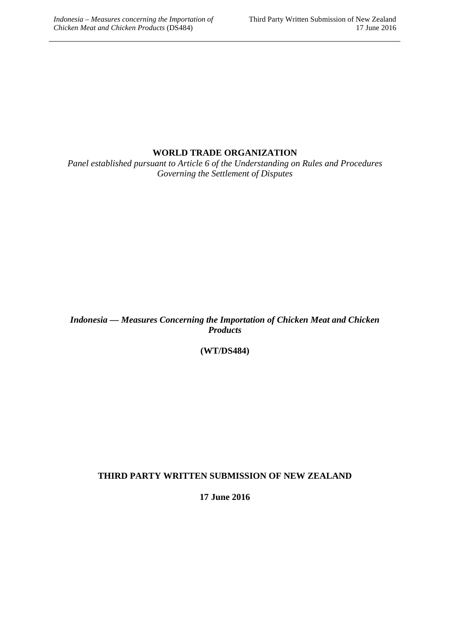## **WORLD TRADE ORGANIZATION**

*Panel established pursuant to Article 6 of the Understanding on Rules and Procedures Governing the Settlement of Disputes*

*Indonesia — Measures Concerning the Importation of Chicken Meat and Chicken Products*

**(WT/DS484)**

### **THIRD PARTY WRITTEN SUBMISSION OF NEW ZEALAND**

**17 June 2016**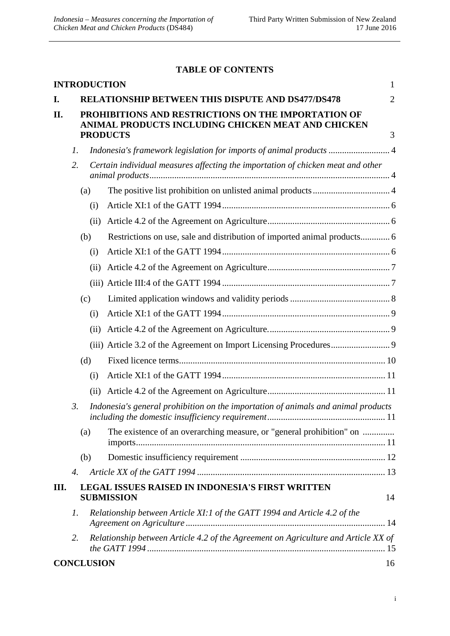### **TABLE OF CONTENTS**

|      |                                                                                                                              |                   | <b>INTRODUCTION</b>                                                                | 1              |
|------|------------------------------------------------------------------------------------------------------------------------------|-------------------|------------------------------------------------------------------------------------|----------------|
| I.   |                                                                                                                              |                   | <b>RELATIONSHIP BETWEEN THIS DISPUTE AND DS477/DS478</b>                           | $\overline{2}$ |
| П.   | PROHIBITIONS AND RESTRICTIONS ON THE IMPORTATION OF<br>ANIMAL PRODUCTS INCLUDING CHICKEN MEAT AND CHICKEN<br><b>PRODUCTS</b> |                   |                                                                                    |                |
|      |                                                                                                                              |                   |                                                                                    | 3              |
|      | 1.<br>2.                                                                                                                     |                   | Indonesia's framework legislation for imports of animal products  4                |                |
|      |                                                                                                                              |                   | Certain individual measures affecting the importation of chicken meat and other    |                |
|      |                                                                                                                              | (a)               |                                                                                    |                |
|      |                                                                                                                              | (i)               |                                                                                    |                |
|      |                                                                                                                              | (ii)              |                                                                                    |                |
|      |                                                                                                                              | (b)               | Restrictions on use, sale and distribution of imported animal products 6           |                |
|      |                                                                                                                              | (i)               |                                                                                    |                |
|      |                                                                                                                              | (ii)              |                                                                                    |                |
|      |                                                                                                                              |                   |                                                                                    |                |
|      |                                                                                                                              | (c)               |                                                                                    |                |
|      |                                                                                                                              | (i)               |                                                                                    |                |
|      |                                                                                                                              | (i)               |                                                                                    |                |
|      |                                                                                                                              |                   |                                                                                    |                |
|      |                                                                                                                              | (d)               |                                                                                    |                |
|      |                                                                                                                              | (i)               |                                                                                    |                |
|      |                                                                                                                              | (ii)              |                                                                                    |                |
|      | $\mathfrak{Z}$ .                                                                                                             |                   | Indonesia's general prohibition on the importation of animals and animal products  |                |
|      |                                                                                                                              | (a)               | The existence of an overarching measure, or "general prohibition" on               |                |
|      |                                                                                                                              | (b)               |                                                                                    |                |
|      | 4.                                                                                                                           |                   |                                                                                    |                |
| III. |                                                                                                                              |                   | <b>LEGAL ISSUES RAISED IN INDONESIA'S FIRST WRITTEN</b><br><b>SUBMISSION</b>       | 14             |
|      | 1.                                                                                                                           |                   | Relationship between Article XI:1 of the GATT 1994 and Article 4.2 of the          |                |
|      | 2.                                                                                                                           |                   | Relationship between Article 4.2 of the Agreement on Agriculture and Article XX of |                |
|      |                                                                                                                              | <b>CONCLUSION</b> |                                                                                    | 16             |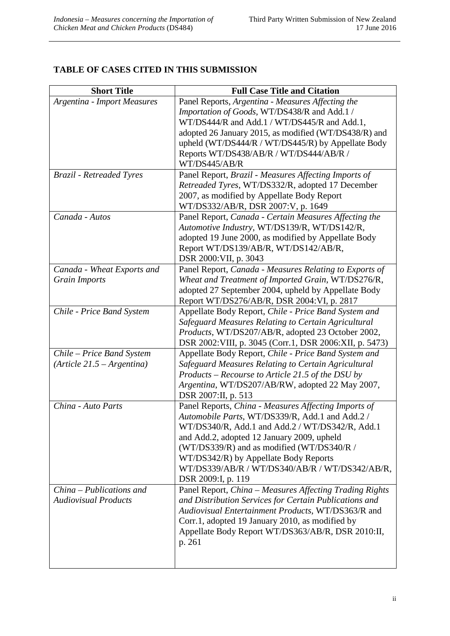### **TABLE OF CASES CITED IN THIS SUBMISSION**

| <b>Short Title</b>                 | <b>Full Case Title and Citation</b>                                                                  |
|------------------------------------|------------------------------------------------------------------------------------------------------|
| <b>Argentina - Import Measures</b> | Panel Reports, Argentina - Measures Affecting the                                                    |
|                                    | Importation of Goods, WT/DS438/R and Add.1 /                                                         |
|                                    | WT/DS444/R and Add.1 / WT/DS445/R and Add.1,                                                         |
|                                    | adopted 26 January 2015, as modified (WT/DS438/R) and                                                |
|                                    | upheld (WT/DS444/R / WT/DS445/R) by Appellate Body                                                   |
|                                    | Reports WT/DS438/AB/R / WT/DS444/AB/R /                                                              |
|                                    | WT/DS445/AB/R                                                                                        |
| <b>Brazil</b> - Retreaded Tyres    | Panel Report, Brazil - Measures Affecting Imports of                                                 |
|                                    | Retreaded Tyres, WT/DS332/R, adopted 17 December                                                     |
|                                    | 2007, as modified by Appellate Body Report                                                           |
|                                    | WT/DS332/AB/R, DSR 2007:V, p. 1649                                                                   |
| Canada - Autos                     | Panel Report, Canada - Certain Measures Affecting the                                                |
|                                    | Automotive Industry, WT/DS139/R, WT/DS142/R,                                                         |
|                                    | adopted 19 June 2000, as modified by Appellate Body                                                  |
|                                    | Report WT/DS139/AB/R, WT/DS142/AB/R,<br>DSR 2000: VII, p. 3043                                       |
| Canada - Wheat Exports and         | Panel Report, Canada - Measures Relating to Exports of                                               |
| <b>Grain Imports</b>               | Wheat and Treatment of Imported Grain, WT/DS276/R,                                                   |
|                                    | adopted 27 September 2004, upheld by Appellate Body                                                  |
|                                    | Report WT/DS276/AB/R, DSR 2004:VI, p. 2817                                                           |
| Chile - Price Band System          | Appellate Body Report, Chile - Price Band System and                                                 |
|                                    | Safeguard Measures Relating to Certain Agricultural                                                  |
|                                    | Products, WT/DS207/AB/R, adopted 23 October 2002,                                                    |
|                                    | DSR 2002: VIII, p. 3045 (Corr.1, DSR 2006: XII, p. 5473)                                             |
| Chile – Price Band System          | Appellate Body Report, Chile - Price Band System and                                                 |
| $(Article 21.5 - Argentina)$       | Safeguard Measures Relating to Certain Agricultural                                                  |
|                                    | Products - Recourse to Article 21.5 of the DSU by                                                    |
|                                    | Argentina, WT/DS207/AB/RW, adopted 22 May 2007,                                                      |
|                                    | DSR 2007:II, p. 513                                                                                  |
| China - Auto Parts                 | Panel Reports, China - Measures Affecting Imports of                                                 |
|                                    | Automobile Parts, WT/DS339/R, Add.1 and Add.2 /                                                      |
|                                    | WT/DS340/R, Add.1 and Add.2 / WT/DS342/R, Add.1                                                      |
|                                    | and Add.2, adopted 12 January 2009, upheld                                                           |
|                                    | (WT/DS339/R) and as modified (WT/DS340/R /                                                           |
|                                    | WT/DS342/R) by Appellate Body Reports                                                                |
|                                    | WT/DS339/AB/R / WT/DS340/AB/R / WT/DS342/AB/R,                                                       |
|                                    | DSR 2009:I, p. 119                                                                                   |
| $China - Publications$ and         | Panel Report, China - Measures Affecting Trading Rights                                              |
| <b>Audiovisual Products</b>        | and Distribution Services for Certain Publications and                                               |
|                                    | Audiovisual Entertainment Products, WT/DS363/R and                                                   |
|                                    | Corr.1, adopted 19 January 2010, as modified by<br>Appellate Body Report WT/DS363/AB/R, DSR 2010:II, |
|                                    | p. 261                                                                                               |
|                                    |                                                                                                      |
|                                    |                                                                                                      |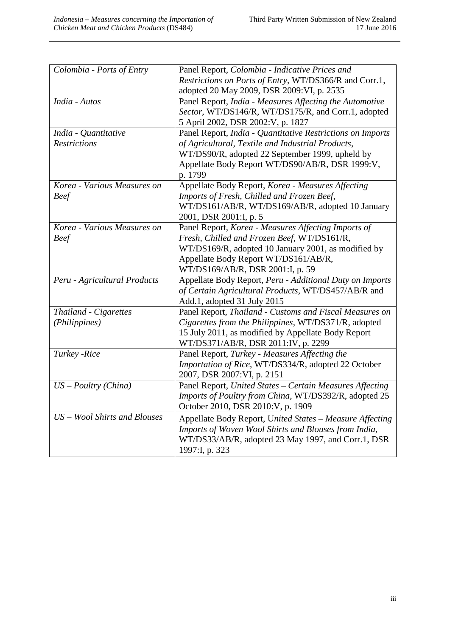| Colombia - Ports of Entry    | Panel Report, Colombia - Indicative Prices and             |
|------------------------------|------------------------------------------------------------|
|                              | Restrictions on Ports of Entry, WT/DS366/R and Corr.1,     |
|                              | adopted 20 May 2009, DSR 2009: VI, p. 2535                 |
| India - Autos                | Panel Report, India - Measures Affecting the Automotive    |
|                              | Sector, WT/DS146/R, WT/DS175/R, and Corr.1, adopted        |
|                              | 5 April 2002, DSR 2002: V, p. 1827                         |
| India - Quantitative         | Panel Report, India - Quantitative Restrictions on Imports |
| <b>Restrictions</b>          | of Agricultural, Textile and Industrial Products,          |
|                              | WT/DS90/R, adopted 22 September 1999, upheld by            |
|                              | Appellate Body Report WT/DS90/AB/R, DSR 1999:V,            |
|                              | p. 1799                                                    |
| Korea - Various Measures on  | Appellate Body Report, Korea - Measures Affecting          |
| <b>Beef</b>                  | Imports of Fresh, Chilled and Frozen Beef,                 |
|                              | WT/DS161/AB/R, WT/DS169/AB/R, adopted 10 January           |
|                              | 2001, DSR 2001:I, p. 5                                     |
| Korea - Various Measures on  | Panel Report, Korea - Measures Affecting Imports of        |
| <b>Beef</b>                  | Fresh, Chilled and Frozen Beef, WT/DS161/R,                |
|                              | WT/DS169/R, adopted 10 January 2001, as modified by        |
|                              | Appellate Body Report WT/DS161/AB/R,                       |
|                              | WT/DS169/AB/R, DSR 2001:I, p. 59                           |
| Peru - Agricultural Products | Appellate Body Report, Peru - Additional Duty on Imports   |
|                              | of Certain Agricultural Products, WT/DS457/AB/R and        |
|                              | Add.1, adopted 31 July 2015                                |
| Thailand - Cigarettes        | Panel Report, Thailand - Customs and Fiscal Measures on    |
| (Philippines)                | Cigarettes from the Philippines, WT/DS371/R, adopted       |
|                              | 15 July 2011, as modified by Appellate Body Report         |
|                              | WT/DS371/AB/R, DSR 2011:IV, p. 2299                        |
| Turkey -Rice                 | Panel Report, Turkey - Measures Affecting the              |
|                              | Importation of Rice, WT/DS334/R, adopted 22 October        |
|                              | 2007, DSR 2007: VI, p. 2151                                |
| $US - \text{Poultry}(China)$ | Panel Report, United States - Certain Measures Affecting   |
|                              | Imports of Poultry from China, WT/DS392/R, adopted 25      |
|                              | October 2010, DSR 2010: V, p. 1909                         |
| US - Wool Shirts and Blouses | Appellate Body Report, United States - Measure Affecting   |
|                              | Imports of Woven Wool Shirts and Blouses from India,       |
|                              | WT/DS33/AB/R, adopted 23 May 1997, and Corr.1, DSR         |
|                              | 1997:I, p. 323                                             |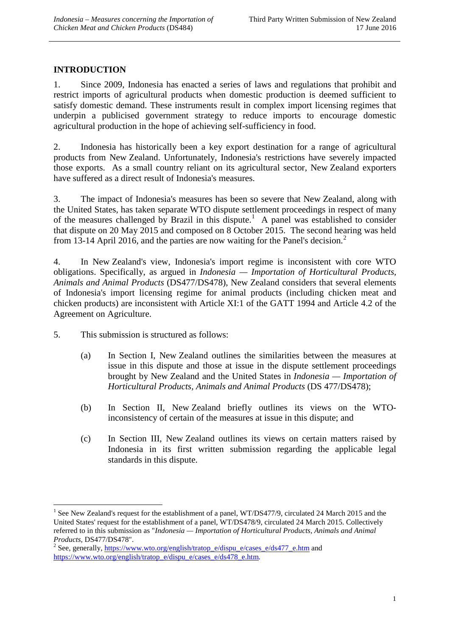# <span id="page-4-0"></span>**INTRODUCTION**

1. Since 2009, Indonesia has enacted a series of laws and regulations that prohibit and restrict imports of agricultural products when domestic production is deemed sufficient to satisfy domestic demand. These instruments result in complex import licensing regimes that underpin a publicised government strategy to reduce imports to encourage domestic agricultural production in the hope of achieving self-sufficiency in food.

2. Indonesia has historically been a key export destination for a range of agricultural products from New Zealand. Unfortunately, Indonesia's restrictions have severely impacted those exports. As a small country reliant on its agricultural sector, New Zealand exporters have suffered as a direct result of Indonesia's measures.

3. The impact of Indonesia's measures has been so severe that New Zealand, along with the United States, has taken separate WTO dispute settlement proceedings in respect of many of the measures challenged by Brazil in this dispute.<sup>[1](#page-4-1)</sup> A panel was established to consider that dispute on 20 May 2015 and composed on 8 October 2015. The second hearing was held from 13-14 April [2](#page-4-2)016, and the parties are now waiting for the Panel's decision.<sup>2</sup>

4. In New Zealand's view, Indonesia's import regime is inconsistent with core WTO obligations. Specifically, as argued in *Indonesia — Importation of Horticultural Products, Animals and Animal Products* (DS477/DS478), New Zealand considers that several elements of Indonesia's import licensing regime for animal products (including chicken meat and chicken products) are inconsistent with Article XI:1 of the GATT 1994 and Article 4.2 of the Agreement on Agriculture.

5. This submission is structured as follows:

<u>.</u>

- (a) In Section I, New Zealand outlines the similarities between the measures at issue in this dispute and those at issue in the dispute settlement proceedings brought by New Zealand and the United States in *Indonesia — Importation of Horticultural Products, Animals and Animal Products* (DS 477/DS478);
- (b) In Section II, New Zealand briefly outlines its views on the WTOinconsistency of certain of the measures at issue in this dispute; and
- (c) In Section III, New Zealand outlines its views on certain matters raised by Indonesia in its first written submission regarding the applicable legal standards in this dispute.

<span id="page-4-1"></span><sup>&</sup>lt;sup>1</sup> See New Zealand's request for the establishment of a panel, WT/DS477/9, circulated 24 March 2015 and the United States' request for the establishment of a panel, WT/DS478/9, circulated 24 March 2015. Collectively referred to in this submission as "*Indonesia — Importation of Horticultural Products, Animals and Animal* 

<span id="page-4-2"></span><sup>&</sup>lt;sup>2</sup> See, generally, [https://www.wto.org/english/tratop\\_e/dispu\\_e/cases\\_e/ds477\\_e.htm](https://www.wto.org/english/tratop_e/dispu_e/cases_e/ds477_e.htm) and [https://www.wto.org/english/tratop\\_e/dispu\\_e/cases\\_e/ds478\\_e.htm.](https://www.wto.org/english/tratop_e/dispu_e/cases_e/ds478_e.htm)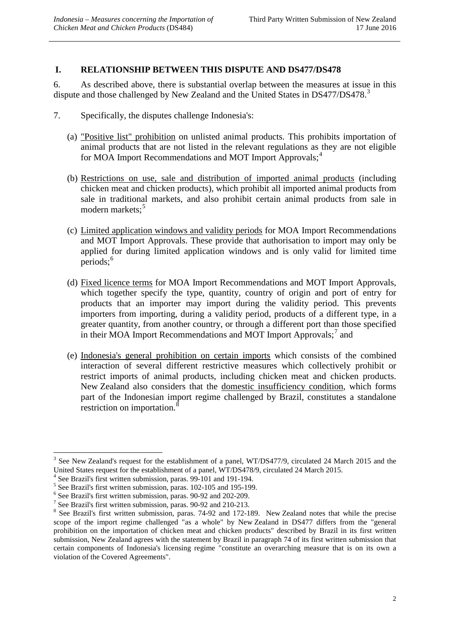### <span id="page-5-0"></span>**I. RELATIONSHIP BETWEEN THIS DISPUTE AND DS477/DS478**

6. As described above, there is substantial overlap between the measures at issue in this dispute and those challenged by New Zealand and the United States in DS477/DS478.<sup>[3](#page-5-1)</sup>

- 7. Specifically, the disputes challenge Indonesia's:
	- (a) "Positive list" prohibition on unlisted animal products. This prohibits importation of animal products that are not listed in the relevant regulations as they are not eligible for MOA Import Recommendations and MOT Import Approvals;<sup>[4](#page-5-2)</sup>
	- (b) Restrictions on use, sale and distribution of imported animal products (including chicken meat and chicken products), which prohibit all imported animal products from sale in traditional markets, and also prohibit certain animal products from sale in modern markets;<sup>[5](#page-5-3)</sup>
	- (c) Limited application windows and validity periods for MOA Import Recommendations and MOT Import Approvals. These provide that authorisation to import may only be applied for during limited application windows and is only valid for limited time periods; [6](#page-5-4)
	- (d) Fixed licence terms for MOA Import Recommendations and MOT Import Approvals, which together specify the type, quantity, country of origin and port of entry for products that an importer may import during the validity period. This prevents importers from importing, during a validity period, products of a different type, in a greater quantity, from another country, or through a different port than those specified in their MOA Import Recommendations and MOT Import Approvals;<sup>[7](#page-5-5)</sup> and
	- (e) Indonesia's general prohibition on certain imports which consists of the combined interaction of several different restrictive measures which collectively prohibit or restrict imports of animal products, including chicken meat and chicken products. New Zealand also considers that the domestic insufficiency condition, which forms part of the Indonesian import regime challenged by Brazil, constitutes a standalone restriction on importation.<sup>[8](#page-5-6)</sup>

<span id="page-5-1"></span> $3$  See New Zealand's request for the establishment of a panel, WT/DS477/9, circulated 24 March 2015 and the United States request for the establishment of a panel, WT/DS478/9, circulated 24 March 2015.<br>
<sup>4</sup> See Brazil's first written submission, paras. 99-101 and 191-194.<br>
<sup>5</sup> See Brazil's first written submission, paras. 102-1 <u>.</u>

<span id="page-5-2"></span>

<span id="page-5-3"></span>

<span id="page-5-4"></span>

<span id="page-5-5"></span>

<span id="page-5-6"></span>scope of the import regime challenged "as a whole" by New Zealand in DS477 differs from the "general prohibition on the importation of chicken meat and chicken products" described by Brazil in its first written submission, New Zealand agrees with the statement by Brazil in paragraph 74 of its first written submission that certain components of Indonesia's licensing regime "constitute an overarching measure that is on its own a violation of the Covered Agreements".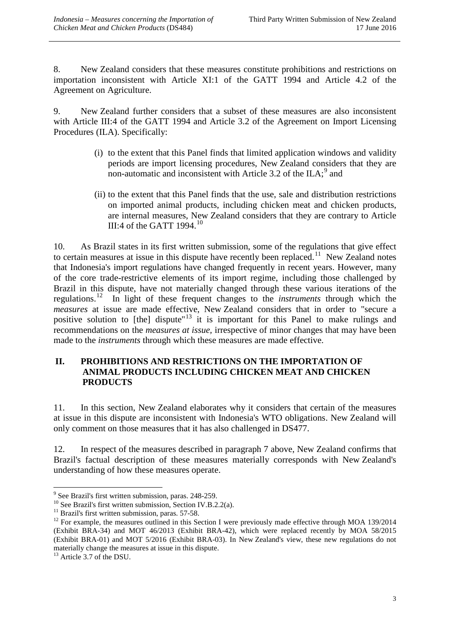8. New Zealand considers that these measures constitute prohibitions and restrictions on importation inconsistent with Article XI:1 of the GATT 1994 and Article 4.2 of the Agreement on Agriculture.

9. New Zealand further considers that a subset of these measures are also inconsistent with Article III:4 of the GATT 1994 and Article 3.2 of the Agreement on Import Licensing Procedures (ILA). Specifically:

- (i) to the extent that this Panel finds that limited application windows and validity periods are import licensing procedures, New Zealand considers that they are non-automatic and inconsistent with Article 3.2 of the ILA; $^9$  $^9$  and
- (ii) to the extent that this Panel finds that the use, sale and distribution restrictions on imported animal products, including chicken meat and chicken products, are internal measures, New Zealand considers that they are contrary to Article III:4 of the GATT  $1994$ <sup>[10](#page-6-2)</sup>

10. As Brazil states in its first written submission, some of the regulations that give effect to certain measures at issue in this dispute have recently been replaced.<sup>11</sup> New Zealand notes that Indonesia's import regulations have changed frequently in recent years. However, many of the core trade-restrictive elements of its import regime, including those challenged by Brazil in this dispute, have not materially changed through these various iterations of the regulations. [12](#page-6-4) In light of these frequent changes to the *instruments* through which the *measures* at issue are made effective, New Zealand considers that in order to "secure a positive solution to [the] dispute<sup>"[13](#page-6-5)</sup> it is important for this Panel to make rulings and recommendations on the *measures at issue,* irrespective of minor changes that may have been made to the *instruments* through which these measures are made effective.

### <span id="page-6-0"></span>**II. PROHIBITIONS AND RESTRICTIONS ON THE IMPORTATION OF ANIMAL PRODUCTS INCLUDING CHICKEN MEAT AND CHICKEN PRODUCTS**

11. In this section, New Zealand elaborates why it considers that certain of the measures at issue in this dispute are inconsistent with Indonesia's WTO obligations. New Zealand will only comment on those measures that it has also challenged in DS477.

12. In respect of the measures described in paragraph 7 above, New Zealand confirms that Brazil's factual description of these measures materially corresponds with New Zealand's understanding of how these measures operate.

<span id="page-6-1"></span> $\degree$  See Brazil's first written submission, paras. 248-259.

<span id="page-6-4"></span><span id="page-6-3"></span>

<span id="page-6-2"></span><sup>&</sup>lt;sup>10</sup> See Brazil's first written submission, Section IV.B.2.2(a).<br><sup>11</sup> Brazil's first written submission, paras. 57-58.<br><sup>12</sup> For example, the measures outlined in this Section I were previously made effective through MOA 1 (Exhibit BRA-34) and MOT 46/2013 (Exhibit BRA-42), which were replaced recently by MOA 58/2015 (Exhibit BRA-01) and MOT 5/2016 (Exhibit BRA-03). In New Zealand's view, these new regulations do not materially change the measures at issue in this dispute.

<span id="page-6-5"></span><sup>&</sup>lt;sup>13</sup> Article 3.7 of the DSU.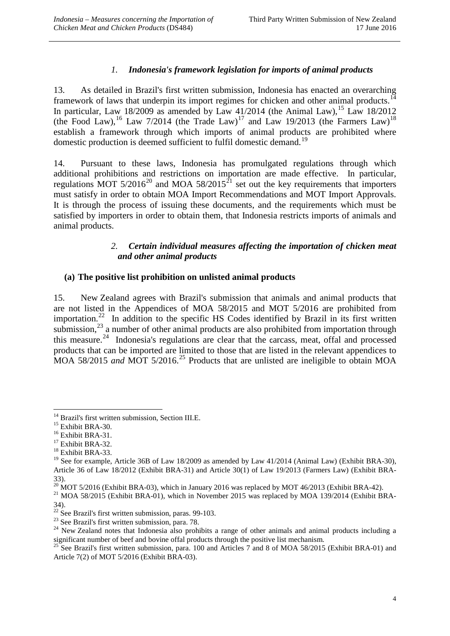## *1. Indonesia's framework legislation for imports of animal products*

<span id="page-7-0"></span>13. As detailed in Brazil's first written submission, Indonesia has enacted an overarching framework of laws that underpin its import regimes for chicken and other animal products.<sup>[14](#page-7-3)</sup> In particular, Law 18/2009 as amended by Law 41/2014 (the Animal Law),<sup>[15](#page-7-4)</sup> Law 18/2012 (the Food Law),<sup>[16](#page-7-5)</sup> Law 7/2014 (the Trade Law)<sup>[17](#page-7-6)</sup> and Law 19/2013 (the Farmers Law)<sup>[18](#page-7-7)</sup> establish a framework through which imports of animal products are prohibited where domestic production is deemed sufficient to fulfil domestic demand.<sup>[19](#page-7-8)</sup>

14. Pursuant to these laws, Indonesia has promulgated regulations through which additional prohibitions and restrictions on importation are made effective. In particular, regulations MOT  $5/2016^{20}$  $5/2016^{20}$  $5/2016^{20}$  and MOA  $58/2015^{21}$  $58/2015^{21}$  $58/2015^{21}$  set out the key requirements that importers must satisfy in order to obtain MOA Import Recommendations and MOT Import Approvals. It is through the process of issuing these documents, and the requirements which must be satisfied by importers in order to obtain them, that Indonesia restricts imports of animals and animal products.

### *2. Certain individual measures affecting the importation of chicken meat and other animal products*

### <span id="page-7-2"></span><span id="page-7-1"></span>**(a) The positive list prohibition on unlisted animal products**

15. New Zealand agrees with Brazil's submission that animals and animal products that are not listed in the Appendices of MOA 58/2015 and MOT 5/2016 are prohibited from importation.<sup>22</sup> In addition to the specific HS Codes identified by Brazil in its first written submission, $^{23}$  $^{23}$  $^{23}$  a number of other animal products are also prohibited from importation through this measure.<sup>[24](#page-7-13)</sup> Indonesia's regulations are clear that the carcass, meat, offal and processed products that can be imported are limited to those that are listed in the relevant appendices to MOA 58/2015 *and* MOT 5/2016.<sup>[25](#page-7-14)</sup> Products that are unlisted are ineligible to obtain MOA

<span id="page-7-3"></span><sup>&</sup>lt;sup>14</sup> Brazil's first written submission, Section III.E.<br><sup>15</sup> Exhibit BRA-30.<br><sup>16</sup> Exhibit BRA-31.<br><sup>17</sup> Exhibit BRA-32.<br><sup>18</sup> Exhibit BRA-33. -

<span id="page-7-4"></span>

<span id="page-7-5"></span>

<span id="page-7-6"></span>

<span id="page-7-8"></span><span id="page-7-7"></span><sup>&</sup>lt;sup>19</sup> See for example, Article 36B of Law 18/2009 as amended by Law 41/2014 (Animal Law) (Exhibit BRA-30), Article 36 of Law 18/2012 (Exhibit BRA-31) and Article 30(1) of Law 19/2013 (Farmers Law) (Exhibit BRA-33).

<span id="page-7-9"></span><sup>&</sup>lt;sup>20</sup> MOT 5/2016 (Exhibit BRA-03), which in January 2016 was replaced by MOT 46/2013 (Exhibit BRA-42).<br><sup>21</sup> MOA 58/2015 (Exhibit BRA-01), which in November 2015 was replaced by MOA 139/2014 (Exhibit BRA-

<span id="page-7-10"></span><sup>34).&</sup>lt;br><sup>22</sup> See Brazil's first written submission, paras. 99-103.

<span id="page-7-13"></span><span id="page-7-12"></span><span id="page-7-11"></span><sup>&</sup>lt;sup>23</sup> See Brazil's first written submission, para. 78.<br><sup>24</sup> New Zealand notes that Indonesia also prohibits a range of other animals and animal products including a significant number of beef and bovine offal products through the positive list mechanism.

<span id="page-7-14"></span><sup>&</sup>lt;sup>25</sup> See Brazil's first written submission, para. 100 and Articles 7 and 8 of MOA 58/2015 (Exhibit BRA-01) and Article 7(2) of MOT 5/2016 (Exhibit BRA-03).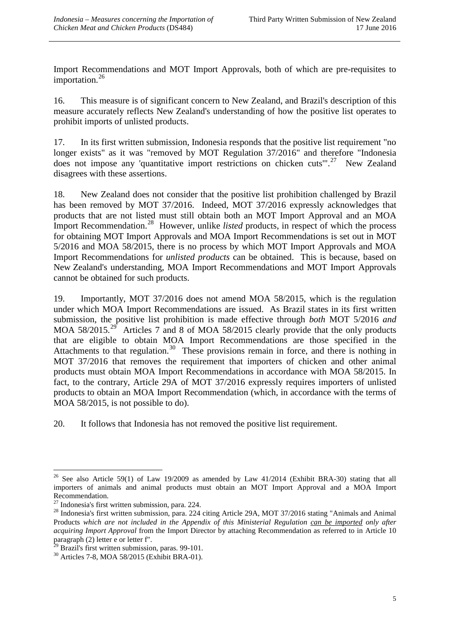Import Recommendations and MOT Import Approvals, both of which are pre-requisites to importation. [26](#page-8-0)

16. This measure is of significant concern to New Zealand, and Brazil's description of this measure accurately reflects New Zealand's understanding of how the positive list operates to prohibit imports of unlisted products.

17. In its first written submission, Indonesia responds that the positive list requirement "no longer exists" as it was "removed by MOT Regulation 37/2016" and therefore "Indonesia does not impose any 'quantitative import restrictions on chicken cuts"<sup>[27](#page-8-1)</sup> New Zealand disagrees with these assertions.

18. New Zealand does not consider that the positive list prohibition challenged by Brazil has been removed by MOT 37/2016. Indeed, MOT 37/2016 expressly acknowledges that products that are not listed must still obtain both an MOT Import Approval and an MOA Import Recommendation.<sup>28</sup> However, unlike *listed* products, in respect of which the process for obtaining MOT Import Approvals and MOA Import Recommendations is set out in MOT 5/2016 and MOA 58/2015, there is no process by which MOT Import Approvals and MOA Import Recommendations for *unlisted products* can be obtained. This is because, based on New Zealand's understanding, MOA Import Recommendations and MOT Import Approvals cannot be obtained for such products.

19. Importantly, MOT 37/2016 does not amend MOA 58/2015, which is the regulation under which MOA Import Recommendations are issued. As Brazil states in its first written submission, the positive list prohibition is made effective through *both* MOT 5/2016 *and*  MOA 58/2015.<sup>[29](#page-8-3)</sup> Articles 7 and 8 of MOA 58/2015 clearly provide that the only products that are eligible to obtain MOA Import Recommendations are those specified in the Attachments to that regulation.<sup>[30](#page-8-4)</sup> These provisions remain in force, and there is nothing in MOT 37/2016 that removes the requirement that importers of chicken and other animal products must obtain MOA Import Recommendations in accordance with MOA 58/2015. In fact, to the contrary, Article 29A of MOT 37/2016 expressly requires importers of unlisted products to obtain an MOA Import Recommendation (which, in accordance with the terms of MOA 58/2015, is not possible to do).

20. It follows that Indonesia has not removed the positive list requirement.

<span id="page-8-0"></span><sup>&</sup>lt;sup>26</sup> See also Article 59(1) of Law 19/2009 as amended by Law 41/2014 (Exhibit BRA-30) stating that all importers of animals and animal products must obtain an MOT Import Approval and a MOA Import Recommendation.<br><sup>27</sup> Indonesia's first written submission, para. 224. -

<span id="page-8-2"></span><span id="page-8-1"></span> $^{28}$  Indonesia's first written submission, para. 224 citing Article 29A, MOT 37/2016 stating "Animals and Animal Products *which are not included in the Appendix of this Ministerial Regulation can be imported only after acquiring Import Approval* from the Import Director by attaching Recommendation as referred to in Article 10 paragraph (2) letter e or letter f".<br><sup>29</sup> Brazil's first written submission, paras. 99-101.

<span id="page-8-3"></span>

<span id="page-8-4"></span> $30$  Articles 7-8, MOA 58/2015 (Exhibit BRA-01).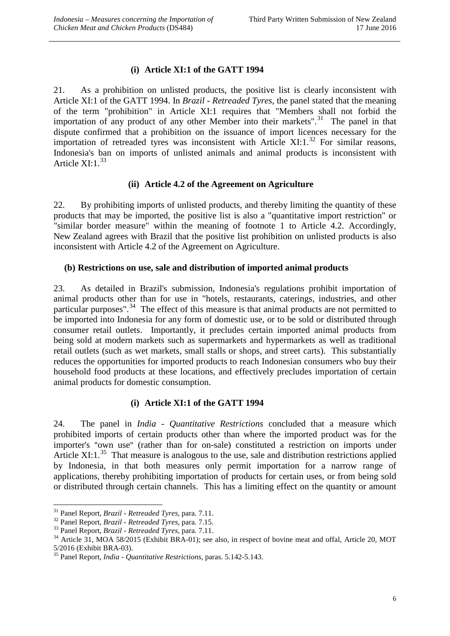### **(i) Article XI:1 of the GATT 1994**

<span id="page-9-0"></span>21. As a prohibition on unlisted products, the positive list is clearly inconsistent with Article XI:1 of the GATT 1994. In *Brazil - Retreaded Tyres,* the panel stated that the meaning of the term "prohibition" in Article XI:1 requires that "Members shall not forbid the importation of any product of any other Member into their markets".<sup>[31](#page-9-4)</sup> The panel in that dispute confirmed that a prohibition on the issuance of import licences necessary for the importation of retreaded tyres was inconsistent with Article XI:1. $^{32}$  $^{32}$  $^{32}$  For similar reasons, Indonesia's ban on imports of unlisted animals and animal products is inconsistent with Article  $XI:1.^{33}$  $XI:1.^{33}$  $XI:1.^{33}$ 

### **(ii) Article 4.2 of the Agreement on Agriculture**

<span id="page-9-1"></span>22. By prohibiting imports of unlisted products, and thereby limiting the quantity of these products that may be imported, the positive list is also a "quantitative import restriction" or "similar border measure" within the meaning of footnote 1 to Article 4.2. Accordingly, New Zealand agrees with Brazil that the positive list prohibition on unlisted products is also inconsistent with Article 4.2 of the Agreement on Agriculture.

#### <span id="page-9-2"></span>**(b) Restrictions on use, sale and distribution of imported animal products**

23. As detailed in Brazil's submission, Indonesia's regulations prohibit importation of animal products other than for use in "hotels, restaurants, caterings, industries, and other particular purposes".<sup>[34](#page-9-7)</sup> The effect of this measure is that animal products are not permitted to be imported into Indonesia for any form of domestic use, or to be sold or distributed through consumer retail outlets. Importantly, it precludes certain imported animal products from being sold at modern markets such as supermarkets and hypermarkets as well as traditional retail outlets (such as wet markets, small stalls or shops, and street carts). This substantially reduces the opportunities for imported products to reach Indonesian consumers who buy their household food products at these locations, and effectively precludes importation of certain animal products for domestic consumption.

### **(i) Article XI:1 of the GATT 1994**

<span id="page-9-3"></span>24. The panel in *India - Quantitative Restrictions* concluded that a measure which prohibited imports of certain products other than where the imported product was for the importer's "own use" (rather than for on-sale) constituted a restriction on imports under Article XI:1. $35$  That measure is analogous to the use, sale and distribution restrictions applied by Indonesia, in that both measures only permit importation for a narrow range of applications, thereby prohibiting importation of products for certain uses, or from being sold or distributed through certain channels. This has a limiting effect on the quantity or amount

<span id="page-9-4"></span><sup>&</sup>lt;sup>31</sup> Panel Report, *Brazil* - *Retreaded Tyres*, para. 7.11.

<span id="page-9-7"></span><span id="page-9-6"></span>

<span id="page-9-5"></span><sup>&</sup>lt;sup>32</sup> Panel Report, *Brazil - Retreaded Tyres*, para. 7.15.<br><sup>33</sup> Panel Report, *Brazil - Retreaded Tyres*, para. 7.11.<br><sup>34</sup> Article 31, MOA 58/2015 (Exhibit BRA-01); see also, in respect of bovine meat and offal, Article 2 5/2016 (Exhibit BRA-03). <sup>35</sup> Panel Report, *India - Quantitative Restrictions*, paras. 5.142-5.143.

<span id="page-9-8"></span>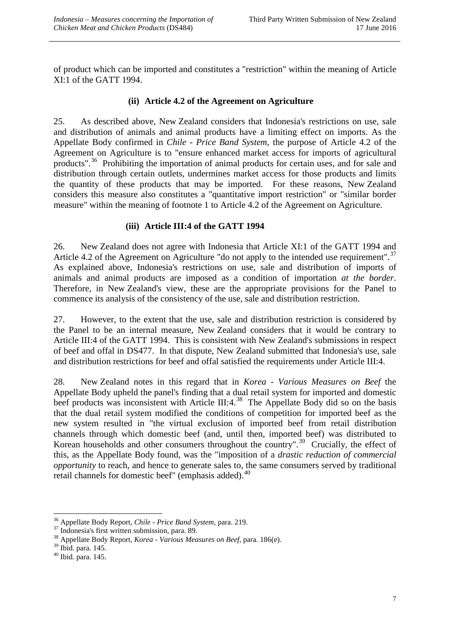of product which can be imported and constitutes a "restriction" within the meaning of Article XI:1 of the GATT 1994.

### **(ii) Article 4.2 of the Agreement on Agriculture**

<span id="page-10-0"></span>25. As described above, New Zealand considers that Indonesia's restrictions on use, sale and distribution of animals and animal products have a limiting effect on imports. As the Appellate Body confirmed in *Chile - Price Band System,* the purpose of Article 4.2 of the Agreement on Agriculture is to "ensure enhanced market access for imports of agricultural products".<sup>36</sup> Prohibiting the importation of animal products for certain uses, and for sale and distribution through certain outlets, undermines market access for those products and limits the quantity of these products that may be imported. For these reasons, New Zealand considers this measure also constitutes a "quantitative import restriction" or "similar border measure" within the meaning of footnote 1 to Article 4.2 of the Agreement on Agriculture.

### **(iii) Article III:4 of the GATT 1994**

<span id="page-10-1"></span>26. New Zealand does not agree with Indonesia that Article XI:1 of the GATT 1994 and Article 4.2 of the Agreement on Agriculture "do not apply to the intended use requirement".<sup>[37](#page-10-3)</sup> As explained above, Indonesia's restrictions on use, sale and distribution of imports of animals and animal products are imposed as a condition of importation *at the border*. Therefore, in New Zealand's view, these are the appropriate provisions for the Panel to commence its analysis of the consistency of the use, sale and distribution restriction.

27. However, to the extent that the use, sale and distribution restriction is considered by the Panel to be an internal measure, New Zealand considers that it would be contrary to Article III:4 of the GATT 1994. This is consistent with New Zealand's submissions in respect of beef and offal in DS477. In that dispute, New Zealand submitted that Indonesia's use, sale and distribution restrictions for beef and offal satisfied the requirements under Article III:4.

28. New Zealand notes in this regard that in *Korea - Various Measures on Beef* the Appellate Body upheld the panel's finding that a dual retail system for imported and domestic beef products was inconsistent with Article III:4. $^{38}$  $^{38}$  $^{38}$  The Appellate Body did so on the basis that the dual retail system modified the conditions of competition for imported beef as the new system resulted in "the virtual exclusion of imported beef from retail distribution channels through which domestic beef (and, until then, imported beef) was distributed to Korean households and other consumers throughout the country".<sup>39</sup> Crucially, the effect of this, as the Appellate Body found, was the "imposition of a *drastic reduction of commercial opportunity* to reach, and hence to generate sales to, the same consumers served by traditional retail channels for domestic beef" (emphasis added).<sup>[40](#page-10-6)</sup>

<span id="page-10-2"></span><sup>&</sup>lt;sup>36</sup> Appellate Body Report, *Chile - Price Band System*, para. 219.

<span id="page-10-4"></span><span id="page-10-3"></span><sup>&</sup>lt;sup>37</sup> Indonesia's first written submission, para. 89. <sup>38</sup><br><sup>38</sup> Appellate Body Report, *Korea - Various Measures on Beef*, para. 186(e). <sup>39</sup> Ibid. para. 145.

<span id="page-10-6"></span><span id="page-10-5"></span> $<sup>40</sup>$  Ibid. para. 145.</sup>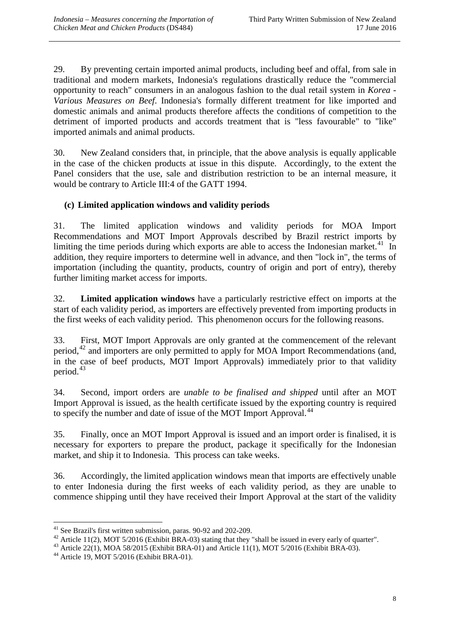29. By preventing certain imported animal products, including beef and offal, from sale in traditional and modern markets, Indonesia's regulations drastically reduce the "commercial opportunity to reach" consumers in an analogous fashion to the dual retail system in *Korea - Various Measures on Beef*. Indonesia's formally different treatment for like imported and domestic animals and animal products therefore affects the conditions of competition to the detriment of imported products and accords treatment that is "less favourable" to "like" imported animals and animal products.

30. New Zealand considers that, in principle, that the above analysis is equally applicable in the case of the chicken products at issue in this dispute. Accordingly, to the extent the Panel considers that the use, sale and distribution restriction to be an internal measure, it would be contrary to Article III:4 of the GATT 1994.

## <span id="page-11-0"></span>**(c) Limited application windows and validity periods**

31. The limited application windows and validity periods for MOA Import Recommendations and MOT Import Approvals described by Brazil restrict imports by limiting the time periods during which exports are able to access the Indonesian market.<sup>[41](#page-11-1)</sup> In addition, they require importers to determine well in advance, and then "lock in", the terms of importation (including the quantity, products, country of origin and port of entry), thereby further limiting market access for imports.

32. **Limited application windows** have a particularly restrictive effect on imports at the start of each validity period, as importers are effectively prevented from importing products in the first weeks of each validity period. This phenomenon occurs for the following reasons.

33. First, MOT Import Approvals are only granted at the commencement of the relevant period,<sup>[42](#page-11-2)</sup> and importers are only permitted to apply for MOA Import Recommendations (and, in the case of beef products, MOT Import Approvals) immediately prior to that validity period.<sup>[43](#page-11-3)</sup>

34. Second, import orders are *unable to be finalised and shipped* until after an MOT Import Approval is issued, as the health certificate issued by the exporting country is required to specify the number and date of issue of the MOT Import Approval.<sup>[44](#page-11-4)</sup>

35. Finally, once an MOT Import Approval is issued and an import order is finalised, it is necessary for exporters to prepare the product, package it specifically for the Indonesian market, and ship it to Indonesia. This process can take weeks.

36. Accordingly, the limited application windows mean that imports are effectively unable to enter Indonesia during the first weeks of each validity period, as they are unable to commence shipping until they have received their Import Approval at the start of the validity

 $41$  See Brazil's first written submission, paras. 90-92 and 202-209.

<span id="page-11-3"></span><span id="page-11-2"></span><span id="page-11-1"></span><sup>&</sup>lt;sup>42</sup> Article 11(2), MOT 5/2016 (Exhibit BRA-03) stating that they "shall be issued in every early of quarter".<br><sup>43</sup> Article 22(1), MOA 58/2015 (Exhibit BRA-01) and Article 11(1), MOT 5/2016 (Exhibit BRA-03).<br><sup>44</sup> Article

<span id="page-11-4"></span>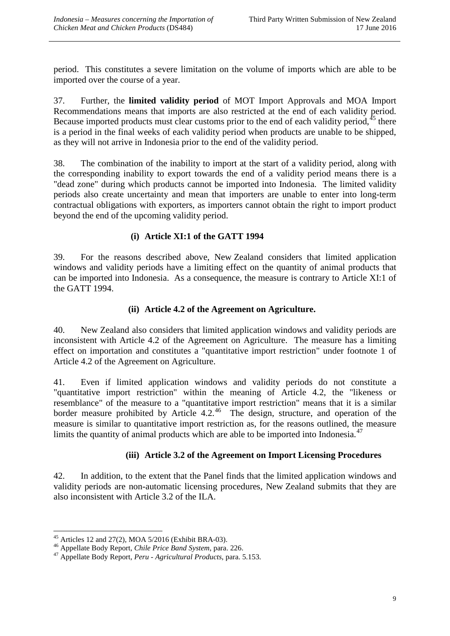period. This constitutes a severe limitation on the volume of imports which are able to be imported over the course of a year.

37. Further, the **limited validity period** of MOT Import Approvals and MOA Import Recommendations means that imports are also restricted at the end of each validity period. Because imported products must clear customs prior to the end of each validity period,<sup>[45](#page-12-3)</sup> there is a period in the final weeks of each validity period when products are unable to be shipped, as they will not arrive in Indonesia prior to the end of the validity period.

38. The combination of the inability to import at the start of a validity period, along with the corresponding inability to export towards the end of a validity period means there is a "dead zone" during which products cannot be imported into Indonesia. The limited validity periods also create uncertainty and mean that importers are unable to enter into long-term contractual obligations with exporters, as importers cannot obtain the right to import product beyond the end of the upcoming validity period.

### **(i) Article XI:1 of the GATT 1994**

<span id="page-12-0"></span>39. For the reasons described above, New Zealand considers that limited application windows and validity periods have a limiting effect on the quantity of animal products that can be imported into Indonesia. As a consequence, the measure is contrary to Article XI:1 of the GATT 1994.

### **(ii) Article 4.2 of the Agreement on Agriculture.**

<span id="page-12-1"></span>40. New Zealand also considers that limited application windows and validity periods are inconsistent with Article 4.2 of the Agreement on Agriculture. The measure has a limiting effect on importation and constitutes a "quantitative import restriction" under footnote 1 of Article 4.2 of the Agreement on Agriculture.

41. Even if limited application windows and validity periods do not constitute a "quantitative import restriction" within the meaning of Article 4.2, the "likeness or resemblance" of the measure to a "quantitative import restriction" means that it is a similar border measure prohibited by Article  $4.2^{46}$  The design, structure, and operation of the measure is similar to quantitative import restriction as, for the reasons outlined, the measure limits the quantity of animal products which are able to be imported into Indonesia. $47$ 

### **(iii) Article 3.2 of the Agreement on Import Licensing Procedures**

<span id="page-12-2"></span>42. In addition, to the extent that the Panel finds that the limited application windows and validity periods are non-automatic licensing procedures, New Zealand submits that they are also inconsistent with Article 3.2 of the ILA.

 $45$  Articles 12 and 27(2), MOA 5/2016 (Exhibit BRA-03).

<span id="page-12-5"></span><span id="page-12-4"></span><span id="page-12-3"></span><sup>&</sup>lt;sup>46</sup> Appellate Body Report, *Chile Price Band System*, para. 226.<br><sup>47</sup> Appellate Body Report, *Peru - Agricultural Products*, para. 5.153.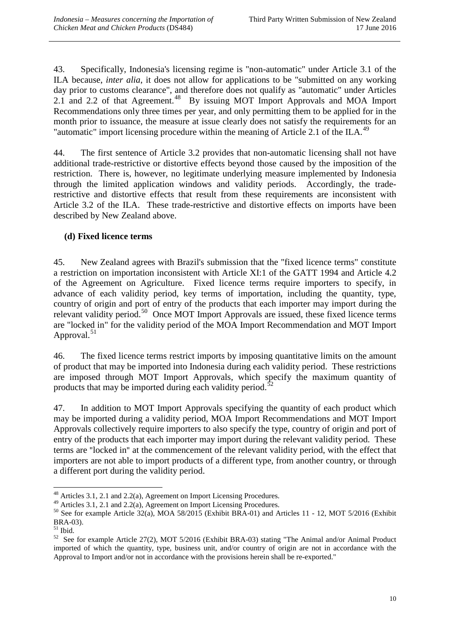43. Specifically, Indonesia's licensing regime is "non-automatic" under Article 3.1 of the ILA because, *inter alia*, it does not allow for applications to be "submitted on any working day prior to customs clearance", and therefore does not qualify as "automatic" under Articles 2.1 and 2.2 of that Agreement.<sup>[48](#page-13-1)</sup> By issuing MOT Import Approvals and MOA Import Recommendations only three times per year, and only permitting them to be applied for in the month prior to issuance, the measure at issue clearly does not satisfy the requirements for an "automatic" import licensing procedure within the meaning of Article 2.1 of the ILA.<sup>[49](#page-13-2)</sup>

44. The first sentence of Article 3.2 provides that non-automatic licensing shall not have additional trade-restrictive or distortive effects beyond those caused by the imposition of the restriction. There is, however, no legitimate underlying measure implemented by Indonesia through the limited application windows and validity periods. Accordingly, the traderestrictive and distortive effects that result from these requirements are inconsistent with Article 3.2 of the ILA. These trade-restrictive and distortive effects on imports have been described by New Zealand above.

## <span id="page-13-0"></span>**(d) Fixed licence terms**

45. New Zealand agrees with Brazil's submission that the "fixed licence terms" constitute a restriction on importation inconsistent with Article XI:1 of the GATT 1994 and Article 4.2 of the Agreement on Agriculture. Fixed licence terms require importers to specify, in advance of each validity period, key terms of importation, including the quantity, type, country of origin and port of entry of the products that each importer may import during the relevant validity period.[50](#page-13-3) Once MOT Import Approvals are issued, these fixed licence terms are "locked in" for the validity period of the MOA Import Recommendation and MOT Import Approval.<sup>[51](#page-13-4)</sup>

46. The fixed licence terms restrict imports by imposing quantitative limits on the amount of product that may be imported into Indonesia during each validity period. These restrictions are imposed through MOT Import Approvals, which specify the maximum quantity of products that may be imported during each validity period.<sup>[52](#page-13-5)</sup>

47. In addition to MOT Import Approvals specifying the quantity of each product which may be imported during a validity period, MOA Import Recommendations and MOT Import Approvals collectively require importers to also specify the type, country of origin and port of entry of the products that each importer may import during the relevant validity period. These terms are "locked in" at the commencement of the relevant validity period, with the effect that importers are not able to import products of a different type, from another country, or through a different port during the validity period.

 $48$  Articles 3.1, 2.1 and 2.2(a), Agreement on Import Licensing Procedures. -

<span id="page-13-3"></span><span id="page-13-2"></span><span id="page-13-1"></span><sup>&</sup>lt;sup>49</sup> Articles 3.1, 2.1 and 2.2(a), Agreement on Import Licensing Procedures.<br><sup>50</sup> See for example Article 32(a), MOA 58/2015 (Exhibit BRA-01) and Articles 11 - 12, MOT 5/2016 (Exhibit BRA-03).

<span id="page-13-5"></span><span id="page-13-4"></span><sup>&</sup>lt;sup>51</sup> Ibid. <sup>52</sup> See for example Article 27(2), MOT 5/2016 (Exhibit BRA-03) stating "The Animal and/or Animal Product imported of which the quantity, type, business unit, and/or country of origin are not in accordance with the Approval to Import and/or not in accordance with the provisions herein shall be re-exported."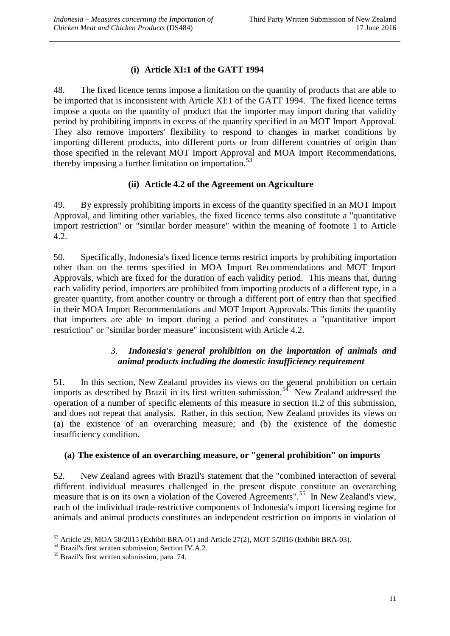## **(i) Article XI:1 of the GATT 1994**

<span id="page-14-0"></span>48. The fixed licence terms impose a limitation on the quantity of products that are able to be imported that is inconsistent with Article XI:1 of the GATT 1994. The fixed licence terms impose a quota on the quantity of product that the importer may import during that validity period by prohibiting imports in excess of the quantity specified in an MOT Import Approval. They also remove importers' flexibility to respond to changes in market conditions by importing different products, into different ports or from different countries of origin than those specified in the relevant MOT Import Approval and MOA Import Recommendations, thereby imposing a further limitation on importation.<sup>[53](#page-14-4)</sup>

### **(ii) Article 4.2 of the Agreement on Agriculture**

<span id="page-14-1"></span>49. By expressly prohibiting imports in excess of the quantity specified in an MOT Import Approval, and limiting other variables, the fixed licence terms also constitute a "quantitative import restriction" or "similar border measure" within the meaning of footnote 1 to Article 4.2.

50. Specifically, Indonesia's fixed licence terms restrict imports by prohibiting importation other than on the terms specified in MOA Import Recommendations and MOT Import Approvals, which are fixed for the duration of each validity period. This means that, during each validity period, importers are prohibited from importing products of a different type, in a greater quantity, from another country or through a different port of entry than that specified in their MOA Import Recommendations and MOT Import Approvals. This limits the quantity that importers are able to import during a period and constitutes a "quantitative import restriction" or "similar border measure" inconsistent with Article 4.2.

### *3. Indonesia's general prohibition on the importation of animals and animal products including the domestic insufficiency requirement*

<span id="page-14-2"></span>51. In this section, New Zealand provides its views on the general prohibition on certain imports as described by Brazil in its first written submission.<sup>[54](#page-14-5)</sup> New Zealand addressed the operation of a number of specific elements of this measure in section II.2 of this submission, and does not repeat that analysis. Rather, in this section, New Zealand provides its views on (a) the existence of an overarching measure; and (b) the existence of the domestic insufficiency condition.

### <span id="page-14-3"></span>**(a) The existence of an overarching measure, or "general prohibition" on imports**

52. New Zealand agrees with Brazil's statement that the "combined interaction of several different individual measures challenged in the present dispute constitute an overarching measure that is on its own a violation of the Covered Agreements".<sup>[55](#page-14-6)</sup> In New Zealand's view, each of the individual trade-restrictive components of Indonesia's import licensing regime for animals and animal products constitutes an independent restriction on imports in violation of

<sup>&</sup>lt;sup>53</sup> Article 29, MOA 58/2015 (Exhibit BRA-01) and Article 27(2), MOT 5/2016 (Exhibit BRA-03).<br><sup>54</sup> Brazil's first written submission, Section IV.A.2. <sup>55</sup> Brazil's first written submission, para. 74. <u>.</u>

<span id="page-14-5"></span><span id="page-14-4"></span>

<span id="page-14-6"></span>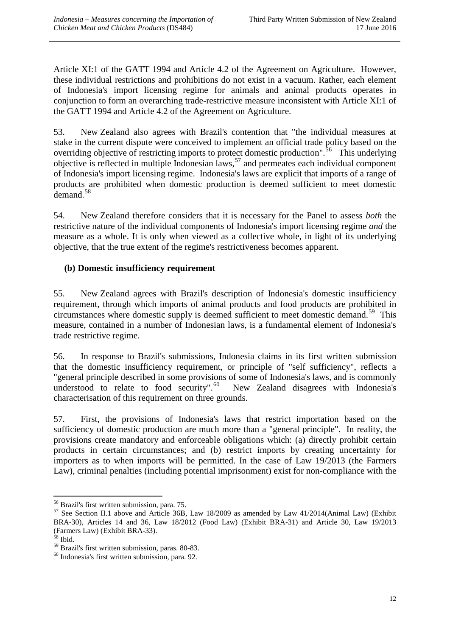Article XI:1 of the GATT 1994 and Article 4.2 of the Agreement on Agriculture. However, these individual restrictions and prohibitions do not exist in a vacuum. Rather, each element of Indonesia's import licensing regime for animals and animal products operates in conjunction to form an overarching trade-restrictive measure inconsistent with Article XI:1 of the GATT 1994 and Article 4.2 of the Agreement on Agriculture.

53. New Zealand also agrees with Brazil's contention that "the individual measures at stake in the current dispute were conceived to implement an official trade policy based on the overriding objective of restricting imports to protect domestic production".<sup>[56](#page-15-1)</sup> This underlying objective is reflected in multiple Indonesian laws,  $57$  and permeates each individual component of Indonesia's import licensing regime. Indonesia's laws are explicit that imports of a range of products are prohibited when domestic production is deemed sufficient to meet domestic demand. [58](#page-15-3)

54. New Zealand therefore considers that it is necessary for the Panel to assess *both* the restrictive nature of the individual components of Indonesia's import licensing regime *and* the measure as a whole. It is only when viewed as a collective whole, in light of its underlying objective, that the true extent of the regime's restrictiveness becomes apparent.

### <span id="page-15-0"></span>**(b) Domestic insufficiency requirement**

55. New Zealand agrees with Brazil's description of Indonesia's domestic insufficiency requirement, through which imports of animal products and food products are prohibited in circumstances where domestic supply is deemed sufficient to meet domestic demand.<sup>[59](#page-15-4)</sup> This measure, contained in a number of Indonesian laws, is a fundamental element of Indonesia's trade restrictive regime.

56. In response to Brazil's submissions, Indonesia claims in its first written submission that the domestic insufficiency requirement, or principle of "self sufficiency", reflects a "general principle described in some provisions of some of Indonesia's laws, and is commonly understood to relate to food security".<sup>60</sup> New Zealand disagrees with Indonesia's characterisation of this requirement on three grounds.

57. First, the provisions of Indonesia's laws that restrict importation based on the sufficiency of domestic production are much more than a "general principle". In reality, the provisions create mandatory and enforceable obligations which: (a) directly prohibit certain products in certain circumstances; and (b) restrict imports by creating uncertainty for importers as to when imports will be permitted. In the case of Law 19/2013 (the Farmers Law), criminal penalties (including potential imprisonment) exist for non-compliance with the

<sup>&</sup>lt;u>.</u>

<span id="page-15-2"></span><span id="page-15-1"></span><sup>&</sup>lt;sup>56</sup> Brazil's first written submission, para. 75.<br><sup>57</sup> See Section II.1 above and Article 36B, Law 18/2009 as amended by Law 41/2014(Animal Law) (Exhibit BRA-30), Articles 14 and 36, Law 18/2012 (Food Law) (Exhibit BRA-31) and Article 30, Law 19/2013 (Farmers Law) (Exhibit BRA-33).<br><sup>58</sup> Ibid.<br><sup>59</sup> Brazil's first written submission, paras. 80-83.

<span id="page-15-3"></span>

<span id="page-15-4"></span>

<span id="page-15-5"></span> $50$  Indonesia's first written submission, para. 92.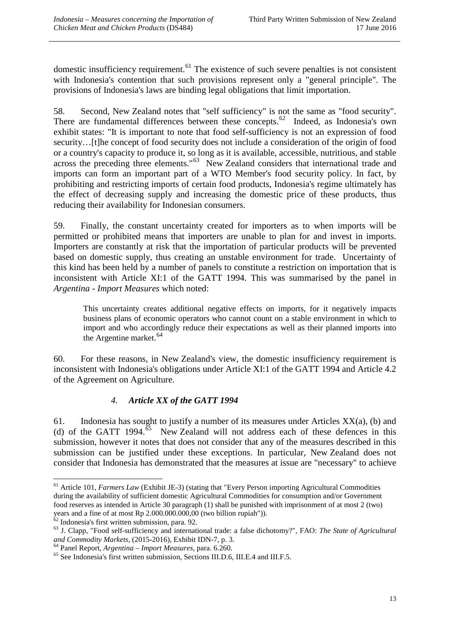domestic insufficiency requirement.<sup>[61](#page-16-1)</sup> The existence of such severe penalties is not consistent with Indonesia's contention that such provisions represent only a "general principle". The provisions of Indonesia's laws are binding legal obligations that limit importation.

58. Second, New Zealand notes that "self sufficiency" is not the same as "food security". There are fundamental differences between these concepts.<sup>62</sup> Indeed, as Indonesia's own exhibit states: "It is important to note that food self-sufficiency is not an expression of food security…[t]he concept of food security does not include a consideration of the origin of food or a country's capacity to produce it, so long as it is available, accessible, nutritious, and stable across the preceding three elements."<sup>63</sup> New Zealand considers that international trade and imports can form an important part of a WTO Member's food security policy. In fact, by prohibiting and restricting imports of certain food products, Indonesia's regime ultimately has the effect of decreasing supply and increasing the domestic price of these products, thus reducing their availability for Indonesian consumers.

59. Finally, the constant uncertainty created for importers as to when imports will be permitted or prohibited means that importers are unable to plan for and invest in imports. Importers are constantly at risk that the importation of particular products will be prevented based on domestic supply, thus creating an unstable environment for trade. Uncertainty of this kind has been held by a number of panels to constitute a restriction on importation that is inconsistent with Article XI:1 of the GATT 1994. This was summarised by the panel in *Argentina - Import Measures* which noted:

This uncertainty creates additional negative effects on imports, for it negatively impacts business plans of economic operators who cannot count on a stable environment in which to import and who accordingly reduce their expectations as well as their planned imports into the Argentine market. [64](#page-16-4)

60. For these reasons, in New Zealand's view, the domestic insufficiency requirement is inconsistent with Indonesia's obligations under Article XI:1 of the GATT 1994 and Article 4.2 of the Agreement on Agriculture.

## *4. Article XX of the GATT 1994*

<span id="page-16-0"></span>61. Indonesia has sought to justify a number of its measures under Articles  $XX(a)$ , (b) and (d) of the GATT 1994.<sup>65</sup> New Zealand will not address each of these defences in this submission, however it notes that does not consider that any of the measures described in this submission can be justified under these exceptions. In particular, New Zealand does not consider that Indonesia has demonstrated that the measures at issue are "necessary" to achieve

<span id="page-16-1"></span><sup>&</sup>lt;sup>61</sup> Article 101, *Farmers Law* (Exhibit JE-3) (stating that "Every Person importing Agricultural Commodities during the availability of sufficient domestic Agricultural Commodities for consumption and/or Government food reserves as intended in Article 30 paragraph (1) shall be punished with imprisonment of at most 2 (two) years and a fine of at most Rp 2.000.000.000,00 (two billion rupiah")).<br><sup>62</sup> Indonesia's first written submission, para. 92. <u>.</u>

<span id="page-16-2"></span>

<span id="page-16-3"></span><sup>&</sup>lt;sup>63</sup> J. Clapp, "Food self-sufficiency and international trade: a false dichotomy?", FAO: *The State of Agricultural and Commodity Markets*, (2015-2016), Exhibit IDN-7, p. 3.

<span id="page-16-5"></span><span id="page-16-4"></span><sup>&</sup>lt;sup>64</sup> Panel Report, *Argentina – Import Measures*, para. 6.260.<br><sup>65</sup> See Indonesia's first written submission, Sections III.D.6, III.E.4 and III.F.5.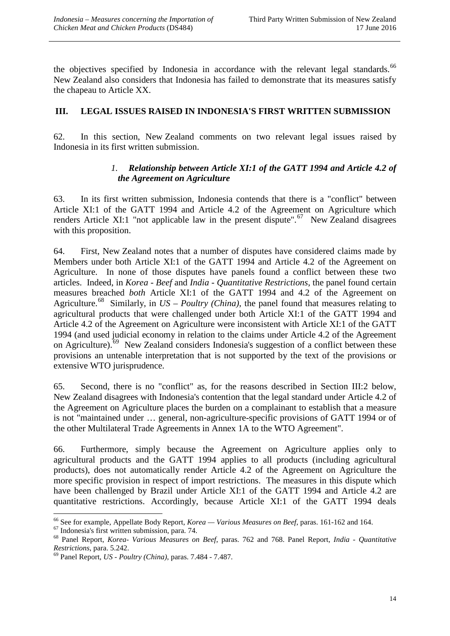the objectives specified by Indonesia in accordance with the relevant legal standards.<sup>[66](#page-17-2)</sup> New Zealand also considers that Indonesia has failed to demonstrate that its measures satisfy the chapeau to Article XX.

### <span id="page-17-0"></span>**III. LEGAL ISSUES RAISED IN INDONESIA'S FIRST WRITTEN SUBMISSION**

<span id="page-17-1"></span>62. In this section, New Zealand comments on two relevant legal issues raised by Indonesia in its first written submission.

### *1. Relationship between Article XI:1 of the GATT 1994 and Article 4.2 of the Agreement on Agriculture*

63. In its first written submission, Indonesia contends that there is a "conflict" between Article XI:1 of the GATT 1994 and Article 4.2 of the Agreement on Agriculture which renders Article XI:1 "not applicable law in the present dispute".<sup>[67](#page-17-3)</sup> New Zealand disagrees with this proposition.

64. First, New Zealand notes that a number of disputes have considered claims made by Members under both Article XI:1 of the GATT 1994 and Article 4.2 of the Agreement on Agriculture. In none of those disputes have panels found a conflict between these two articles. Indeed, in *Korea - Beef* and *India - Quantitative Restrictions*, the panel found certain measures breached *both* Article XI:1 of the GATT 1994 and 4.2 of the Agreement on Agriculture.<sup>68</sup> Similarly, in  $US - Poultry$  *(China)*, the panel found that measures relating to agricultural products that were challenged under both Article XI:1 of the GATT 1994 and Article 4.2 of the Agreement on Agriculture were inconsistent with Article XI:1 of the GATT 1994 (and used judicial economy in relation to the claims under Article 4.2 of the Agreement on Agriculture).<sup>69</sup> New Zealand considers Indonesia's suggestion of a conflict between these provisions an untenable interpretation that is not supported by the text of the provisions or extensive WTO jurisprudence.

65. Second, there is no "conflict" as, for the reasons described in Section III:2 below, New Zealand disagrees with Indonesia's contention that the legal standard under Article 4.2 of the Agreement on Agriculture places the burden on a complainant to establish that a measure is not "maintained under … general, non-agriculture-specific provisions of GATT 1994 or of the other Multilateral Trade Agreements in Annex 1A to the WTO Agreement".

66. Furthermore, simply because the Agreement on Agriculture applies only to agricultural products and the GATT 1994 applies to all products (including agricultural products), does not automatically render Article 4.2 of the Agreement on Agriculture the more specific provision in respect of import restrictions. The measures in this dispute which have been challenged by Brazil under Article XI:1 of the GATT 1994 and Article 4.2 are quantitative restrictions. Accordingly, because Article XI:1 of the GATT 1994 deals

<span id="page-17-2"></span><sup>&</sup>lt;sup>66</sup> See for example, Appellate Body Report, *Korea* — *Various Measures on Beef*, paras. 161-162 and 164.

<span id="page-17-4"></span><span id="page-17-3"></span> $^{67}$  Indonesia's first written submission, para. 74.<br> $^{68}$  Panel Report, *Korea-Various Measures on Beef*, paras. 762 and 768. Panel Report, *India - Quantitative Restrictions*, para. 5.242.<br><sup>69</sup> Panel Report, *US - Poultry (China)*, paras. 7.484 - 7.487.

<span id="page-17-5"></span>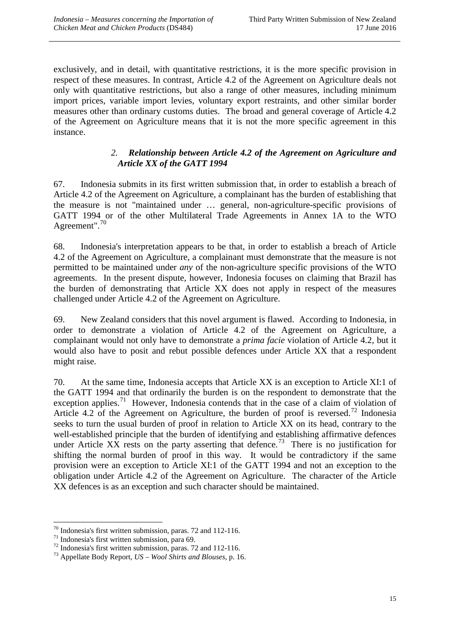exclusively, and in detail, with quantitative restrictions, it is the more specific provision in respect of these measures. In contrast, Article 4.2 of the Agreement on Agriculture deals not only with quantitative restrictions, but also a range of other measures, including minimum import prices, variable import levies, voluntary export restraints, and other similar border measures other than ordinary customs duties. The broad and general coverage of Article 4.2 of the Agreement on Agriculture means that it is not the more specific agreement in this instance.

### *2. Relationship between Article 4.2 of the Agreement on Agriculture and Article XX of the GATT 1994*

<span id="page-18-0"></span>67. Indonesia submits in its first written submission that, in order to establish a breach of Article 4.2 of the Agreement on Agriculture, a complainant has the burden of establishing that the measure is not "maintained under … general, non-agriculture-specific provisions of GATT 1994 or of the other Multilateral Trade Agreements in Annex 1A to the WTO Agreement".<sup>70</sup>

68. Indonesia's interpretation appears to be that, in order to establish a breach of Article 4.2 of the Agreement on Agriculture, a complainant must demonstrate that the measure is not permitted to be maintained under *any* of the non-agriculture specific provisions of the WTO agreements. In the present dispute, however, Indonesia focuses on claiming that Brazil has the burden of demonstrating that Article XX does not apply in respect of the measures challenged under Article 4.2 of the Agreement on Agriculture.

69. New Zealand considers that this novel argument is flawed. According to Indonesia, in order to demonstrate a violation of Article 4.2 of the Agreement on Agriculture, a complainant would not only have to demonstrate a *prima facie* violation of Article 4.2, but it would also have to posit and rebut possible defences under Article XX that a respondent might raise.

70. At the same time, Indonesia accepts that Article XX is an exception to Article XI:1 of the GATT 1994 and that ordinarily the burden is on the respondent to demonstrate that the exception applies.<sup>[71](#page-18-2)</sup> However, Indonesia contends that in the case of a claim of violation of Article 4.2 of the Agreement on Agriculture, the burden of proof is reversed.<sup>[72](#page-18-3)</sup> Indonesia seeks to turn the usual burden of proof in relation to Article XX on its head, contrary to the well-established principle that the burden of identifying and establishing affirmative defences under Article XX rests on the party asserting that defence.<sup>[73](#page-18-4)</sup> There is no justification for shifting the normal burden of proof in this way. It would be contradictory if the same provision were an exception to Article XI:1 of the GATT 1994 and not an exception to the obligation under Article 4.2 of the Agreement on Agriculture. The character of the Article XX defences is as an exception and such character should be maintained.

<sup>-</sup>

<span id="page-18-2"></span>

<span id="page-18-1"></span><sup>&</sup>lt;sup>70</sup> Indonesia's first written submission, paras. 72 and 112-116.<br><sup>71</sup> Indonesia's first written submission, para 69.<br><sup>72</sup> Indonesia's first written submission, paras. 72 and 112-116.<br><sup>73</sup> Appellate Body Report, *US – Woo* 

<span id="page-18-4"></span><span id="page-18-3"></span>